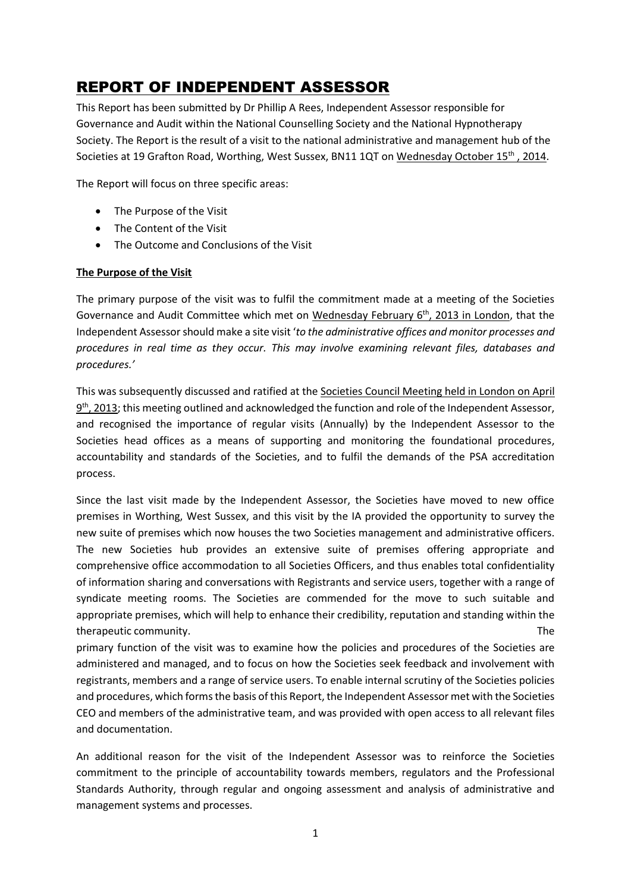# REPORT OF INDEPENDENT ASSESSOR

This Report has been submitted by Dr Phillip A Rees, Independent Assessor responsible for Governance and Audit within the National Counselling Society and the National Hypnotherapy Society. The Report is the result of a visit to the national administrative and management hub of the Societies at 19 Grafton Road, Worthing, West Sussex, BN11 1QT on Wednesday October 15<sup>th</sup>, 2014.

The Report will focus on three specific areas:

- The Purpose of the Visit
- The Content of the Visit
- The Outcome and Conclusions of the Visit

#### **The Purpose of the Visit**

The primary purpose of the visit was to fulfil the commitment made at a meeting of the Societies Governance and Audit Committee which met on Wednesday February  $6<sup>th</sup>$ , 2013 in London, that the Independent Assessor should make a site visit '*to the administrative offices and monitor processes and procedures in real time as they occur. This may involve examining relevant files, databases and procedures.'*

This was subsequently discussed and ratified at the Societies Council Meeting held in London on April  $9<sup>th</sup>$ , 2013; this meeting outlined and acknowledged the function and role of the Independent Assessor, and recognised the importance of regular visits (Annually) by the Independent Assessor to the Societies head offices as a means of supporting and monitoring the foundational procedures, accountability and standards of the Societies, and to fulfil the demands of the PSA accreditation process.

Since the last visit made by the Independent Assessor, the Societies have moved to new office premises in Worthing, West Sussex, and this visit by the IA provided the opportunity to survey the new suite of premises which now houses the two Societies management and administrative officers. The new Societies hub provides an extensive suite of premises offering appropriate and comprehensive office accommodation to all Societies Officers, and thus enables total confidentiality of information sharing and conversations with Registrants and service users, together with a range of syndicate meeting rooms. The Societies are commended for the move to such suitable and appropriate premises, which will help to enhance their credibility, reputation and standing within the therapeutic community. The

primary function of the visit was to examine how the policies and procedures of the Societies are administered and managed, and to focus on how the Societies seek feedback and involvement with registrants, members and a range of service users. To enable internal scrutiny of the Societies policies and procedures, which forms the basis of this Report, the Independent Assessor met with the Societies CEO and members of the administrative team, and was provided with open access to all relevant files and documentation.

An additional reason for the visit of the Independent Assessor was to reinforce the Societies commitment to the principle of accountability towards members, regulators and the Professional Standards Authority, through regular and ongoing assessment and analysis of administrative and management systems and processes.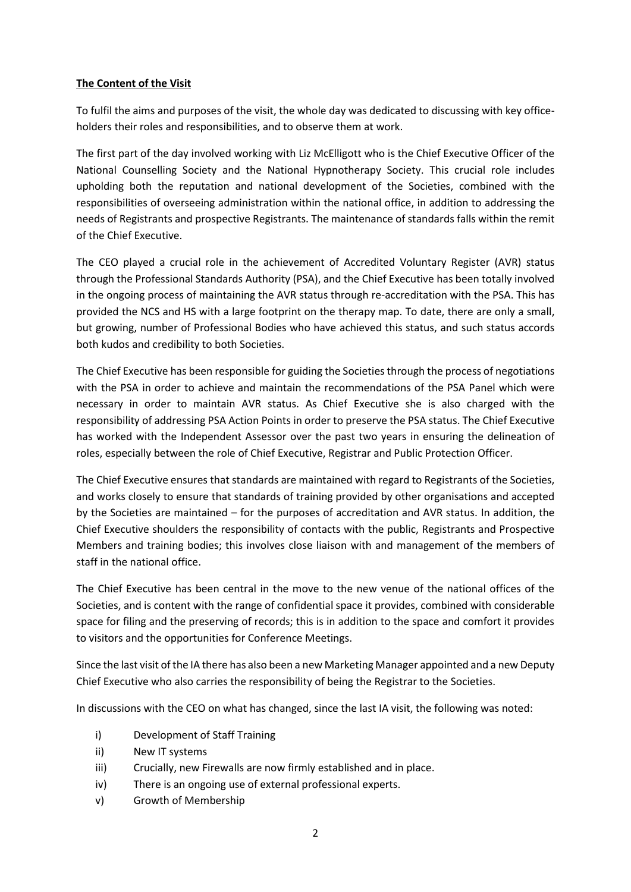### **The Content of the Visit**

To fulfil the aims and purposes of the visit, the whole day was dedicated to discussing with key officeholders their roles and responsibilities, and to observe them at work.

The first part of the day involved working with Liz McElligott who is the Chief Executive Officer of the National Counselling Society and the National Hypnotherapy Society. This crucial role includes upholding both the reputation and national development of the Societies, combined with the responsibilities of overseeing administration within the national office, in addition to addressing the needs of Registrants and prospective Registrants. The maintenance of standards falls within the remit of the Chief Executive.

The CEO played a crucial role in the achievement of Accredited Voluntary Register (AVR) status through the Professional Standards Authority (PSA), and the Chief Executive has been totally involved in the ongoing process of maintaining the AVR status through re-accreditation with the PSA. This has provided the NCS and HS with a large footprint on the therapy map. To date, there are only a small, but growing, number of Professional Bodies who have achieved this status, and such status accords both kudos and credibility to both Societies.

The Chief Executive has been responsible for guiding the Societies through the process of negotiations with the PSA in order to achieve and maintain the recommendations of the PSA Panel which were necessary in order to maintain AVR status. As Chief Executive she is also charged with the responsibility of addressing PSA Action Points in order to preserve the PSA status. The Chief Executive has worked with the Independent Assessor over the past two years in ensuring the delineation of roles, especially between the role of Chief Executive, Registrar and Public Protection Officer.

The Chief Executive ensures that standards are maintained with regard to Registrants of the Societies, and works closely to ensure that standards of training provided by other organisations and accepted by the Societies are maintained – for the purposes of accreditation and AVR status. In addition, the Chief Executive shoulders the responsibility of contacts with the public, Registrants and Prospective Members and training bodies; this involves close liaison with and management of the members of staff in the national office.

The Chief Executive has been central in the move to the new venue of the national offices of the Societies, and is content with the range of confidential space it provides, combined with considerable space for filing and the preserving of records; this is in addition to the space and comfort it provides to visitors and the opportunities for Conference Meetings.

Since the last visit of the IA there has also been a new Marketing Manager appointed and a new Deputy Chief Executive who also carries the responsibility of being the Registrar to the Societies.

In discussions with the CEO on what has changed, since the last IA visit, the following was noted:

- i) Development of Staff Training
- ii) New IT systems
- iii) Crucially, new Firewalls are now firmly established and in place.
- iv) There is an ongoing use of external professional experts.
- v) Growth of Membership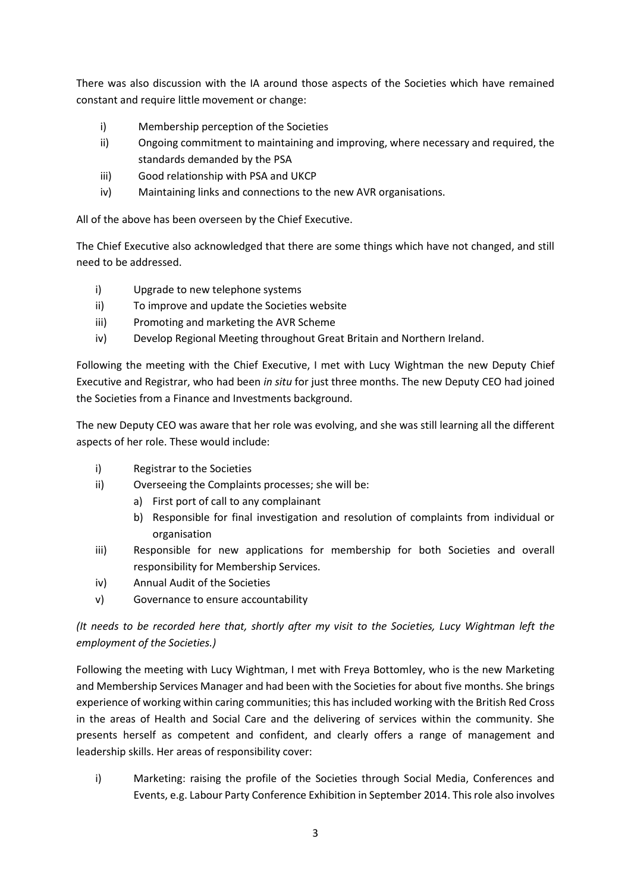There was also discussion with the IA around those aspects of the Societies which have remained constant and require little movement or change:

- i) Membership perception of the Societies
- ii) Ongoing commitment to maintaining and improving, where necessary and required, the standards demanded by the PSA
- iii) Good relationship with PSA and UKCP
- iv) Maintaining links and connections to the new AVR organisations.

All of the above has been overseen by the Chief Executive.

The Chief Executive also acknowledged that there are some things which have not changed, and still need to be addressed.

- i) Upgrade to new telephone systems
- ii) To improve and update the Societies website
- iii) Promoting and marketing the AVR Scheme
- iv) Develop Regional Meeting throughout Great Britain and Northern Ireland.

Following the meeting with the Chief Executive, I met with Lucy Wightman the new Deputy Chief Executive and Registrar, who had been *in situ* for just three months. The new Deputy CEO had joined the Societies from a Finance and Investments background.

The new Deputy CEO was aware that her role was evolving, and she was still learning all the different aspects of her role. These would include:

- i) Registrar to the Societies
- ii) Overseeing the Complaints processes; she will be:
	- a) First port of call to any complainant
	- b) Responsible for final investigation and resolution of complaints from individual or organisation
- iii) Responsible for new applications for membership for both Societies and overall responsibility for Membership Services.
- iv) Annual Audit of the Societies
- v) Governance to ensure accountability

## *(It needs to be recorded here that, shortly after my visit to the Societies, Lucy Wightman left the employment of the Societies.)*

Following the meeting with Lucy Wightman, I met with Freya Bottomley, who is the new Marketing and Membership Services Manager and had been with the Societies for about five months. She brings experience of working within caring communities; this has included working with the British Red Cross in the areas of Health and Social Care and the delivering of services within the community. She presents herself as competent and confident, and clearly offers a range of management and leadership skills. Her areas of responsibility cover:

i) Marketing: raising the profile of the Societies through Social Media, Conferences and Events, e.g. Labour Party Conference Exhibition in September 2014. This role also involves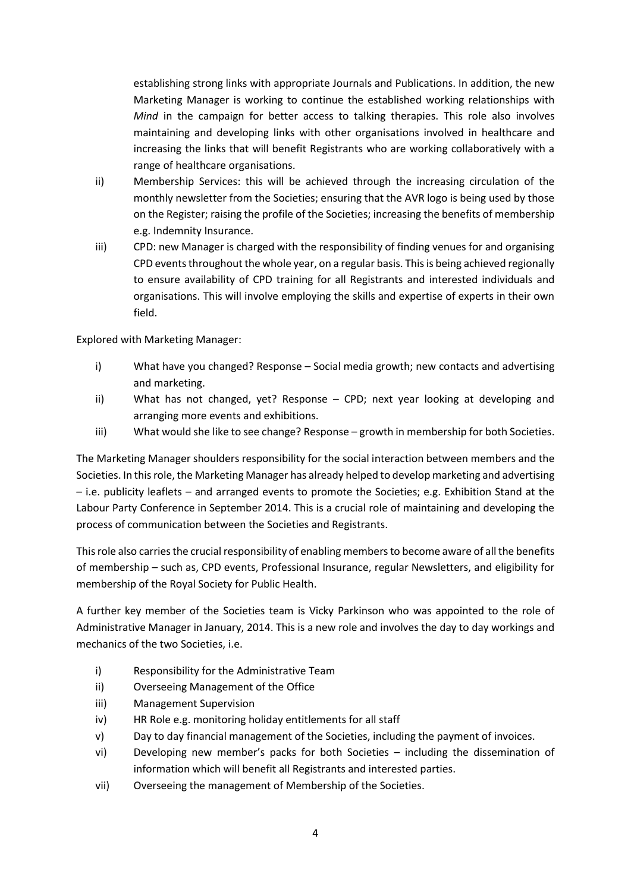establishing strong links with appropriate Journals and Publications. In addition, the new Marketing Manager is working to continue the established working relationships with *Mind* in the campaign for better access to talking therapies. This role also involves maintaining and developing links with other organisations involved in healthcare and increasing the links that will benefit Registrants who are working collaboratively with a range of healthcare organisations.

- ii) Membership Services: this will be achieved through the increasing circulation of the monthly newsletter from the Societies; ensuring that the AVR logo is being used by those on the Register; raising the profile of the Societies; increasing the benefits of membership e.g. Indemnity Insurance.
- iii) CPD: new Manager is charged with the responsibility of finding venues for and organising CPD events throughout the whole year, on a regular basis. This is being achieved regionally to ensure availability of CPD training for all Registrants and interested individuals and organisations. This will involve employing the skills and expertise of experts in their own field.

Explored with Marketing Manager:

- i) What have you changed? Response Social media growth; new contacts and advertising and marketing.
- ii) What has not changed, yet? Response CPD; next year looking at developing and arranging more events and exhibitions.
- iii) What would she like to see change? Response growth in membership for both Societies.

The Marketing Manager shoulders responsibility for the social interaction between members and the Societies. In this role, the Marketing Manager has already helped to develop marketing and advertising – i.e. publicity leaflets – and arranged events to promote the Societies; e.g. Exhibition Stand at the Labour Party Conference in September 2014. This is a crucial role of maintaining and developing the process of communication between the Societies and Registrants.

This role also carries the crucial responsibility of enabling members to become aware of all the benefits of membership – such as, CPD events, Professional Insurance, regular Newsletters, and eligibility for membership of the Royal Society for Public Health.

A further key member of the Societies team is Vicky Parkinson who was appointed to the role of Administrative Manager in January, 2014. This is a new role and involves the day to day workings and mechanics of the two Societies, i.e.

- i) Responsibility for the Administrative Team
- ii) Overseeing Management of the Office
- iii) Management Supervision
- iv) HR Role e.g. monitoring holiday entitlements for all staff
- v) Day to day financial management of the Societies, including the payment of invoices.
- vi) Developing new member's packs for both Societies including the dissemination of information which will benefit all Registrants and interested parties.
- vii) Overseeing the management of Membership of the Societies.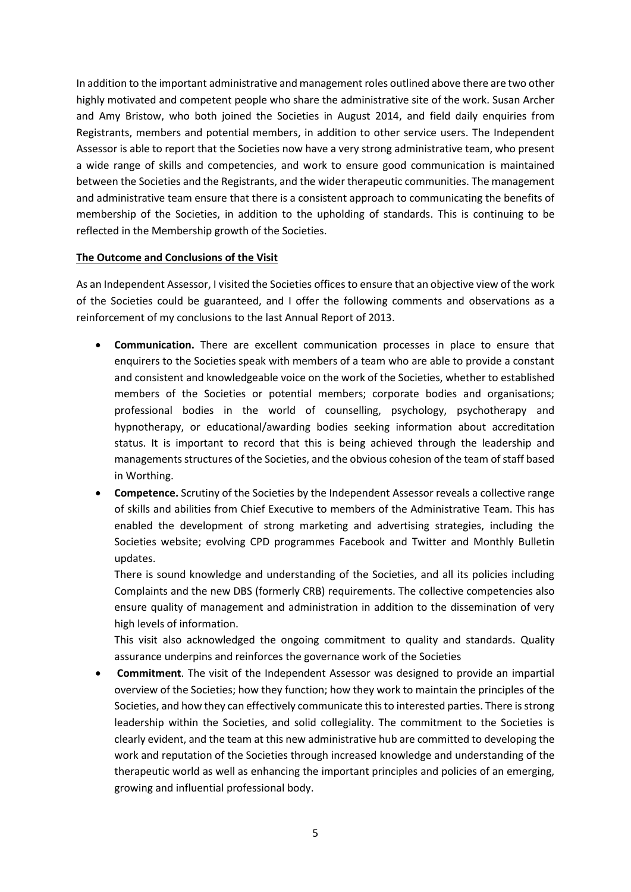In addition to the important administrative and management roles outlined above there are two other highly motivated and competent people who share the administrative site of the work. Susan Archer and Amy Bristow, who both joined the Societies in August 2014, and field daily enquiries from Registrants, members and potential members, in addition to other service users. The Independent Assessor is able to report that the Societies now have a very strong administrative team, who present a wide range of skills and competencies, and work to ensure good communication is maintained between the Societies and the Registrants, and the wider therapeutic communities. The management and administrative team ensure that there is a consistent approach to communicating the benefits of membership of the Societies, in addition to the upholding of standards. This is continuing to be reflected in the Membership growth of the Societies.

### **The Outcome and Conclusions of the Visit**

As an Independent Assessor, I visited the Societies offices to ensure that an objective view of the work of the Societies could be guaranteed, and I offer the following comments and observations as a reinforcement of my conclusions to the last Annual Report of 2013.

- **Communication.** There are excellent communication processes in place to ensure that enquirers to the Societies speak with members of a team who are able to provide a constant and consistent and knowledgeable voice on the work of the Societies, whether to established members of the Societies or potential members; corporate bodies and organisations; professional bodies in the world of counselling, psychology, psychotherapy and hypnotherapy, or educational/awarding bodies seeking information about accreditation status. It is important to record that this is being achieved through the leadership and managements structures of the Societies, and the obvious cohesion of the team of staff based in Worthing.
- **Competence.** Scrutiny of the Societies by the Independent Assessor reveals a collective range of skills and abilities from Chief Executive to members of the Administrative Team. This has enabled the development of strong marketing and advertising strategies, including the Societies website; evolving CPD programmes Facebook and Twitter and Monthly Bulletin updates.

There is sound knowledge and understanding of the Societies, and all its policies including Complaints and the new DBS (formerly CRB) requirements. The collective competencies also ensure quality of management and administration in addition to the dissemination of very high levels of information.

This visit also acknowledged the ongoing commitment to quality and standards. Quality assurance underpins and reinforces the governance work of the Societies

 **Commitment**. The visit of the Independent Assessor was designed to provide an impartial overview of the Societies; how they function; how they work to maintain the principles of the Societies, and how they can effectively communicate this to interested parties. There is strong leadership within the Societies, and solid collegiality. The commitment to the Societies is clearly evident, and the team at this new administrative hub are committed to developing the work and reputation of the Societies through increased knowledge and understanding of the therapeutic world as well as enhancing the important principles and policies of an emerging, growing and influential professional body.